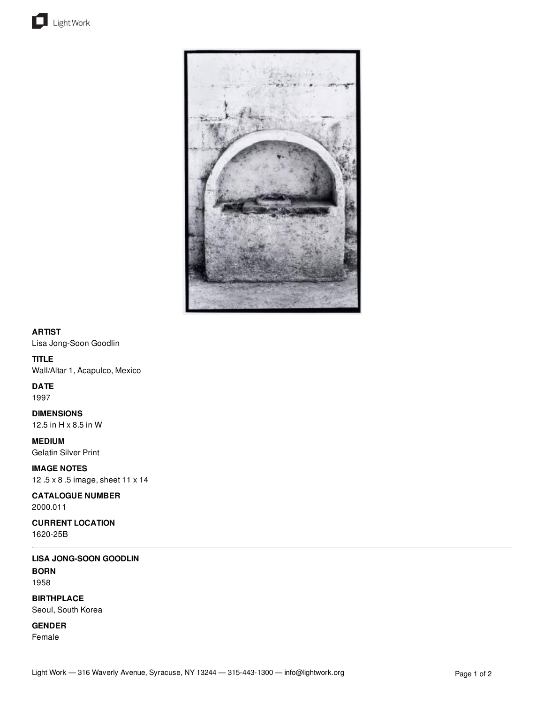



# **ARTIST**

Lisa Jong-Soon Goodlin

## **TITLE**

Wall/Altar 1, Acapulco, Mexico

# **DATE**

1997

**DIMENSIONS** 12.5 in H x 8.5 in W

**MEDIUM** Gelatin Silver Print

**IMAGE NOTES** 12 .5 x 8 .5 image, sheet 11 x 14

**CATALOGUE NUMBER** 2000.011

**CURRENT LOCATION** 1620-25B

**LISA JONG-SOON GOODLIN BORN** 1958

**BIRTHPLACE** Seoul, South Korea

**GENDER** Female